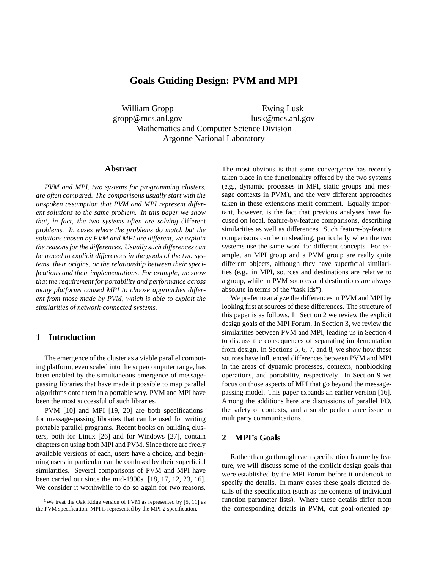# **Goals Guiding Design: PVM and MPI**

William Gropp Ewing Lusk gropp@mcs.anl.gov lusk@mcs.anl.gov Mathematics and Computer Science Division Argonne National Laboratory

#### **Abstract**

*PVM and MPI, two systems for programming clusters, are often compared. The comparisons usually start with the unspoken assumption that PVM and MPI represent different solutions to the same problem. In this paper we show that, in fact, the two systems often are solving* different *problems. In cases where the problems do match but the solutions chosen by PVM and MPI are different, we explain the reasons for the differences. Usually such differences can be traced to explicit differences in the goals of the two systems, their origins, or the relationship between their specifications and their implementations. For example, we show that the requirement for portability and performance across many platforms caused MPI to choose approaches different from those made by PVM, which is able to exploit the similarities of network-connected systems.*

## **1 Introduction**

The emergence of the cluster as a viable parallel computing platform, even scaled into the supercomputer range, has been enabled by the simultaneous emergence of messagepassing libraries that have made it possible to map parallel algorithms onto them in a portable way. PVM and MPI have been the most successful of such libraries.

PVM [10] and MPI [19, 20] are both specifications<sup>1</sup> for message-passing libraries that can be used for writing portable parallel programs. Recent books on building clusters, both for Linux [26] and for Windows [27], contain chapters on using both MPI and PVM. Since there are freely available versions of each, users have a choice, and beginning users in particular can be confused by their superficial similarities. Several comparisons of PVM and MPI have been carried out since the mid-1990s [18, 17, 12, 23, 16]. We consider it worthwhile to do so again for two reasons. The most obvious is that some convergence has recently taken place in the functionality offered by the two systems (e.g., dynamic processes in MPI, static groups and message contexts in PVM), and the very different approaches taken in these extensions merit comment. Equally important, however, is the fact that previous analyses have focused on local, feature-by-feature comparisons, describing similarities as well as differences. Such feature-by-feature comparisons can be misleading, particularly when the two systems use the same word for different concepts. For example, an MPI group and a PVM group are really quite different objects, although they have superficial similarities (e.g., in MPI, sources and destinations are relative to a group, while in PVM sources and destinations are always absolute in terms of the "task ids").

We prefer to analyze the differences in PVM and MPI by looking first at sources of these differences. The structure of this paper is as follows. In Section 2 we review the explicit design goals of the MPI Forum. In Section 3, we review the similarities between PVM and MPI, leading us in Section 4 to discuss the consequences of separating implementation from design. In Sections 5, 6, 7, and 8, we show how these sources have influenced differences between PVM and MPI in the areas of dynamic processes, contexts, nonblocking operations, and portability, respectively. In Section 9 we focus on those aspects of MPI that go beyond the messagepassing model. This paper expands an earlier version [16]. Among the additions here are discussions of parallel I/O, the safety of contexts, and a subtle performance issue in multiparty communications.

## **2 MPI's Goals**

Rather than go through each specification feature by feature, we will discuss some of the explicit design goals that were established by the MPI Forum before it undertook to specify the details. In many cases these goals dictated details of the specification (such as the contents of individual function parameter lists). Where these details differ from the corresponding details in PVM, out goal-oriented ap-

<sup>&</sup>lt;sup>1</sup>We treat the Oak Ridge version of PVM as represented by  $[5, 11]$  as the PVM specification. MPI is represented by the MPI-2 specification.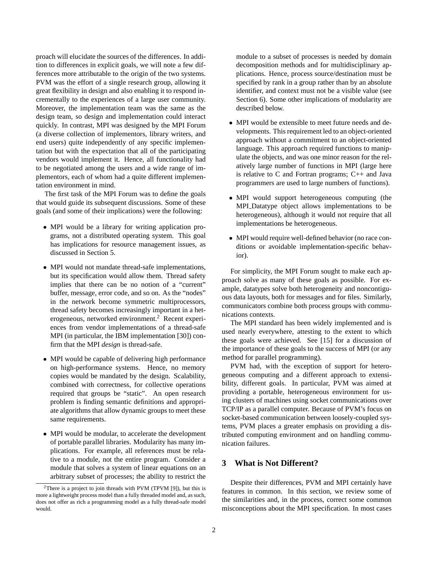proach will elucidate the sources of the differences. In addition to differences in explicit goals, we will note a few differences more attributable to the origin of the two systems. PVM was the effort of a single research group, allowing it great flexibility in design and also enabling it to respond incrementally to the experiences of a large user community. Moreover, the implementation team was the same as the design team, so design and implementation could interact quickly. In contrast, MPI was designed by the MPI Forum (a diverse collection of implementors, library writers, and end users) quite independently of any specific implementation but with the expectation that all of the participating vendors would implement it. Hence, all functionality had to be negotiated among the users and a wide range of implementors, each of whom had a quite different implementation environment in mind.

The first task of the MPI Forum was to define the goals that would guide its subsequent discussions. Some of these goals (and some of their implications) were the following:

- MPI would be a library for writing application programs, not a distributed operating system. This goal has implications for resource management issues, as discussed in Section 5.
- MPI would not mandate thread-safe implementations, but its specification would allow them. Thread safety implies that there can be no notion of a "current" buffer, message, error code, and so on. As the "nodes" in the network become symmetric multiprocessors, thread safety becomes increasingly important in a heterogeneous, networked environment.<sup>2</sup> Recent experiences from vendor implementations of a thread-safe MPI (in particular, the IBM implementation [30]) confirm that the MPI *design* is thread-safe.
- MPI would be capable of delivering high performance on high-performance systems. Hence, no memory copies would be mandated by the design. Scalability, combined with correctness, for collective operations required that groups be "static". An open research problem is finding semantic definitions and appropriate algorithms that allow dynamic groups to meet these same requirements.
- MPI would be modular, to accelerate the development of portable parallel libraries. Modularity has many implications. For example, all references must be relative to a module, not the entire program. Consider a module that solves a system of linear equations on an arbitrary subset of processes; the ability to restrict the

module to a subset of processes is needed by domain decomposition methods and for multidisciplinary applications. Hence, process source/destination must be specified by rank in a group rather than by an absolute identifier, and context must not be a visible value (see Section 6). Some other implications of modularity are described below.

- MPI would be extensible to meet future needs and developments. This requirement led to an object-oriented approach without a commitment to an object-oriented language. This approach required functions to manipulate the objects, and was one minor reason for the relatively large number of functions in MPI (large here is relative to C and Fortran programs; C++ and Java programmers are used to large numbers of functions).
- MPI would support heterogeneous computing (the MPI Datatype object allows implementations to be heterogeneous), although it would not require that all implementations be heterogeneous.
- MPI would require well-defined behavior (no race conditions or avoidable implementation-specific behavior).

For simplicity, the MPI Forum sought to make each approach solve as many of these goals as possible. For example, datatypes solve both heterogeneity and noncontiguous data layouts, both for messages and for files. Similarly, communicators combine both process groups with communications contexts.

The MPI standard has been widely implemented and is used nearly everywhere, attesting to the extent to which these goals were achieved. See [15] for a discussion of the importance of these goals to the success of MPI (or any method for parallel programming).

PVM had, with the exception of support for heterogeneous computing and a different approach to extensibility, different goals. In particular, PVM was aimed at providing a portable, heterogeneous environment for using clusters of machines using socket communications over TCP/IP as a parallel computer. Because of PVM's focus on socket-based communication between loosely-coupled systems, PVM places a greater emphasis on providing a distributed computing environment and on handling communication failures.

# **3 What is Not Different?**

Despite their differences, PVM and MPI certainly have features in common. In this section, we review some of the similarities and, in the process, correct some common misconceptions about the MPI specification. In most cases

<sup>2</sup>There is a project to join threads with PVM (TPVM [9]), but this is more a lightweight process model than a fully threaded model and, as such, does not offer as rich a programming model as a fully thread-safe model would.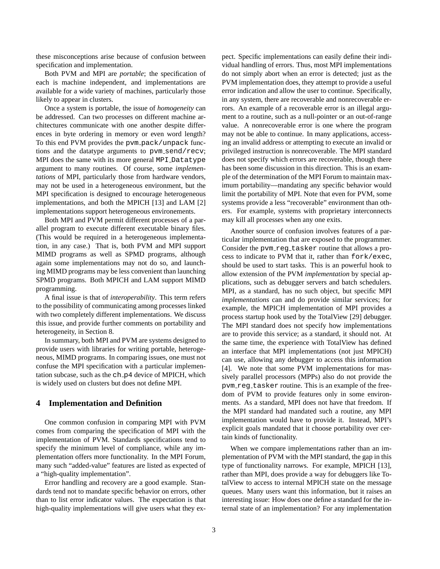these misconceptions arise because of confusion between specification and implementation.

Both PVM and MPI are *portable*; the specification of each is machine independent, and implementations are available for a wide variety of machines, particularly those likely to appear in clusters.

Once a system is portable, the issue of *homogeneity* can be addressed. Can two processes on different machine architectures communicate with one another despite differences in byte ordering in memory or even word length? To this end PVM provides the pvm\_pack/unpack functions and the datatype arguments to pvm send/recv; MPI does the same with its more general MPI Datatype argument to many routines. Of course, some *implementations* of MPI, particularly those from hardware vendors, may not be used in a heterogeneous environment, but the MPI specification is designed to encourage heterogeneous implementations, and both the MPICH [13] and LAM [2] implementations support heterogeneous environements.

Both MPI and PVM permit different processes of a parallel program to execute different executable binary files. (This would be required in a heterogeneous implementation, in any case.) That is, both PVM and MPI support MIMD programs as well as SPMD programs, although again some implementations may not do so, and launching MIMD programs may be less convenient than launching SPMD programs. Both MPICH and LAM support MIMD programming.

A final issue is that of *interoperability*. This term refers to the possibility of communicating among processes linked with two completely different implementations. We discuss this issue, and provide further comments on portability and heterogeneity, in Section 8.

In summary, both MPI and PVM are systems designed to provide users with libraries for writing portable, heterogeneous, MIMD programs. In comparing issues, one must not confuse the MPI specification with a particular implementation subcase, such as the ch p4 device of MPICH, which is widely used on clusters but does not define MPI.

### **4 Implementation and Definition**

One common confusion in comparing MPI with PVM comes from comparing the specification of MPI with the implementation of PVM. Standards specifications tend to specify the minimum level of compliance, while any implementation offers more functionality. In the MPI Forum, many such "added-value" features are listed as expected of a "high-quality implementation".

Error handling and recovery are a good example. Standards tend not to mandate specific behavior on errors, other than to list error indicator values. The expectation is that high-quality implementations will give users what they expect. Specific implementations can easily define their individual handling of errors. Thus, most MPI implementations do not simply abort when an error is detected; just as the PVM implementation does, they attempt to provide a useful error indication and allow the user to continue. Specifically, in any system, there are recoverable and nonrecoverable errors. An example of a recoverable error is an illegal argument to a routine, such as a null-pointer or an out-of-range value. A nonrecoverable error is one where the program may not be able to continue. In many applications, accessing an invalid address or attempting to execute an invalid or privileged instruction is nonrecoverable. The MPI standard does not specify which errors are recoverable, though there has been some discussion in this direction. This is an example of the determination of the MPI Forum to maintain maximum portability—mandating any specific behavior would limit the portability of MPI. Note that even for PVM, some systems provide a less "recoverable" environment than others. For example, systems with proprietary interconnects may kill all processes when any one exits.

Another source of confusion involves features of a particular implementation that are exposed to the programmer. Consider the pym\_req\_tasker routine that allows a process to indicate to PVM that it, rather than fork/exec, should be used to start tasks. This is an powerful hook to allow extension of the PVM *implementation* by special applications, such as debugger servers and batch schedulers. MPI, as a standard, has no such object, but specific MPI *implementations* can and do provide similar services; for example, the MPICH implementation of MPI provides a process startup hook used by the TotalView [29] debugger. The MPI standard does not specify how implementations are to provide this service; as a standard, it should not. At the same time, the experience with TotalView has defined an interface that MPI implementations (not just MPICH) can use, allowing any debugger to access this information [4]. We note that some PVM implementations for massively parallel processors (MPPs) also do not provide the pvm\_reg\_tasker routine. This is an example of the freedom of PVM to provide features only in some environments. As a standard, MPI does not have that freedom. If the MPI standard had mandated such a routine, any MPI implementation would have to provide it. Instead, MPI's explicit goals mandated that it choose portability over certain kinds of functionality.

When we compare implementations rather than an implementation of PVM with the MPI standard, the gap in this type of functionality narrows. For example, MPICH [13], rather than MPI, does provide a way for debuggers like TotalView to access to internal MPICH state on the message queues. Many users want this information, but it raises an interesting issue: How does one define a standard for the internal state of an implementation? For any implementation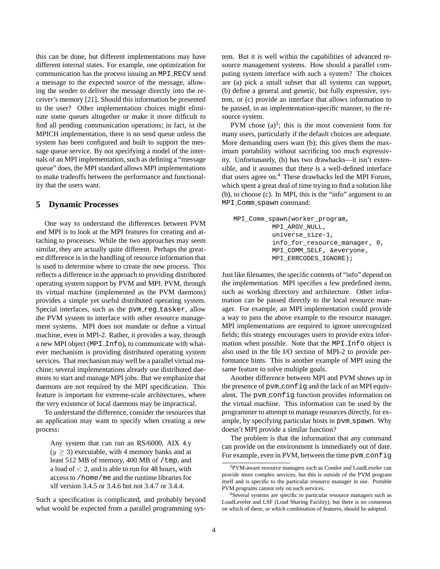this can be done, but different implementations may have different internal states. For example, one optimization for communication has the process issuing an MPI RECV send a message to the expected source of the message, allowing the sender to deliver the message directly into the receiver's memory [21]. Should this information be presented to the user? Other implementation choices might eliminate some queues altogether or make it more difficult to find all pending communication operations; in fact, in the MPICH implementation, there is no send queue unless the system has been configured and built to support the message queue service. By not specifying a model of the internals of an MPI implementation, such as defining a "message queue" does, the MPI standard allows MPI implementations to make tradeoffs between the performance and functionality that the users want.

#### **5 Dynamic Processes**

One way to understand the differences between PVM and MPI is to look at the MPI features for creating and attaching to processes. While the two approaches may seem similar, they are actually quite different. Perhaps the greatest difference is in the handling of resource information that is used to determine where to create the new process. This reflects a difference in the approach to providing distributed operating system support by PVM and MPI. PVM, through its virtual machine (implemented as the PVM daemons) provides a simple yet useful distributed operating system. Special interfaces, such as the pvm\_reg\_tasker, allow the PVM system to interface with other resource management systems. MPI does not mandate or define a virtual machine, even in MPI-2. Rather, it provides a way, through a new MPI object (MPI\_Info), to communicate with whatever mechanism is providing distributed operating system services. That mechanism may well be a parallel virtual machine; several implementations already use distributed daemons to start and manage MPI jobs. But we emphasize that daemons are not required by the MPI specification. This feature is important for extreme-scale architectures, where the very existence of local daemons may be impractical.

To understand the difference, consider the resources that an application may want to specify when creating a new process:

Any system that can run an RS/6000, AIX 4.y  $(y \ge 3)$  executable, with 4 memory banks and at least 512 MB of memory, 400 MB of  $/$ tmp, and a load of  $\lt$  2, and is able to run for 48 hours, with access to /home/me and the runtime libraries for xlf version 3.4.5 or 3.4.6 but not 3.4.7 or 3.4.4.

Such a specification is complicated, and probably beyond what would be expected from a parallel programming system. But it is well within the capabilities of advanced resource management systems. How should a parallel computing system interface with such a system? The choices are (a) pick a small subset that all systems can support, (b) define a general and generic, but fully expressive, system, or (c) provide an interface that allows information to be passed, in an implementation-specific manner, to the resource system.

PVM chose  $(a)^3$ ; this is the most convenient form for many users, particularly if the default choices are adequate. More demanding users want (b); this gives them the maximum portability without sacrificing too much expressivity. Unfortunately, (b) has two drawbacks—it isn't extensible, and it assumes that there is a well-defined interface that users agree on.<sup>4</sup> These drawbacks led the MPI Forum, which spent a great deal of time trying to find a solution like (b), to choose (c). In MPI, this is the "info" argument to an MPI Comm spawn command:

```
MPI_Comm_spawn(worker_program,
          MPI_ARGV_NULL,
          universe_size-1,
          info_for_resource_manager, 0,
          MPI_COMM_SELF, &everyone,
          MPI_ERRCODES_IGNORE);
```
Just like filenames, the specific contents of "info" depend on the implementation. MPI specifies a few predefined items, such as working directory and architecture. Other information can be passed directly to the local resource manager. For example, an MPI implementation could provide a way to pass the above example to the resource manager. MPI implementations are required to ignore unrecognized fields; this strategy encourages users to provide extra information when possible. Note that the MPI Info object is also used in the file I/O section of MPI-2 to provide performance hints. This is another example of MPI using the same feature to solve multiple goals.

Another difference between MPI and PVM shows up in the presence of pvm\_config and the lack of an MPI equivalent. The pvm\_config function provides information on the virtual machine. This information can be used by the programmer to attempt to manage resources directly, for example, by specifying particular hosts in pym\_spawn. Why doesn't MPI provide a similar function?

The problem is that the information that any command can provide on the environment is immediately out of date. For example, even in PVM, between the time pym\_config

<sup>&</sup>lt;sup>3</sup>PVM-aware resource managers such as Condor and LoadLeveler can provide more complex services, but this is outside of the PVM program itself and is specific to the particular resource manager in use. Portable PVM programs cannot rely on such services.

<sup>4</sup>Several systems are specific to particular resource managers such as LoadLeveler and LSF (Load Sharing Facility), but there is no consensus on which of these, or which combination of features, should be adopted.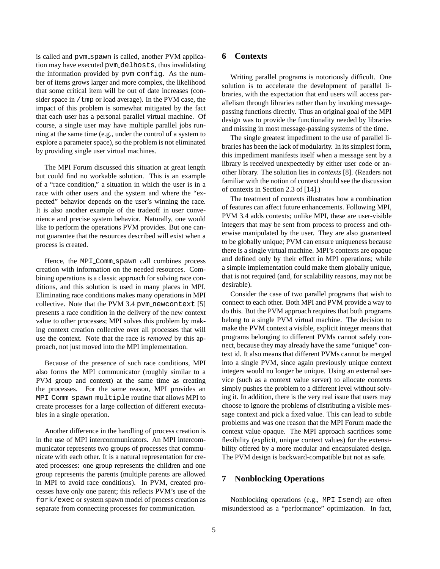is called and pym\_spawn is called, another PVM application may have executed pvm delhosts, thus invalidating the information provided by pvm config. As the number of items grows larger and more complex, the likelihood that some critical item will be out of date increases (consider space in / tmp or load average). In the PVM case, the impact of this problem is somewhat mitigated by the fact that each user has a personal parallel virtual machine. Of course, a single user may have multiple parallel jobs running at the same time (e.g., under the control of a system to explore a parameter space), so the problem is not eliminated by providing single user virtual machines.

The MPI Forum discussed this situation at great length but could find no workable solution. This is an example of a "race condition," a situation in which the user is in a race with other users and the system and where the "expected" behavior depends on the user's winning the race. It is also another example of the tradeoff in user convenience and precise system behavior. Naturally, one would like to perform the operations PVM provides. But one cannot guarantee that the resources described will exist when a process is created.

Hence, the MPI\_Comm\_spawn call combines process creation with information on the needed resources. Combining operations is a classic approach for solving race conditions, and this solution is used in many places in MPI. Eliminating race conditions makes many operations in MPI collective. Note that the PVM 3.4 pvm\_newcontext [5] presents a race condition in the delivery of the new context value to other processes; MPI solves this problem by making context creation collective over all processes that will use the context. Note that the race is *removed* by this approach, not just moved into the MPI implementation.

Because of the presence of such race conditions, MPI also forms the MPI communicator (roughly similar to a PVM group and context) at the same time as creating the processes. For the same reason, MPI provides an MPI Comm spawn multiple routine that allows MPI to create processes for a large collection of different executables in a single operation.

Another difference in the handling of process creation is in the use of MPI intercommunicators. An MPI intercommunicator represents two groups of processes that communicate with each other. It is a natural representation for created processes: one group represents the children and one group represents the parents (multiple parents are allowed in MPI to avoid race conditions). In PVM, created processes have only one parent; this reflects PVM's use of the fork/exec or system spawn model of process creation as separate from connecting processes for communication.

## **6 Contexts**

Writing parallel programs is notoriously difficult. One solution is to accelerate the development of parallel libraries, with the expectation that end users will access parallelism through libraries rather than by invoking messagepassing functions directly. Thus an original goal of the MPI design was to provide the functionality needed by libraries and missing in most message-passing systems of the time.

The single greatest impediment to the use of parallel libraries has been the lack of modularity. In its simplest form, this impediment manifests itself when a message sent by a library is received unexpectedly by either user code or another library. The solution lies in *contexts* [8]. (Readers not familiar with the notion of context should see the discussion of contexts in Section 2.3 of [14].)

The treatment of contexts illustrates how a combination of features can affect future enhancements. Following MPI, PVM 3.4 adds contexts; unlike MPI, these are user-visible integers that may be sent from process to process and otherwise manipulated by the user. They are also guaranteed to be globally unique; PVM can ensure uniqueness because there is a single virtual machine. MPI's contexts are opaque and defined only by their effect in MPI operations; while a simple implementation could make them globally unique, that is not required (and, for scalability reasons, may not be desirable).

Consider the case of two parallel programs that wish to connect to each other. Both MPI and PVM provide a way to do this. But the PVM approach requires that both programs belong to a single PVM virtual machine. The decision to make the PVM context a visible, explicit integer means that programs belonging to different PVMs cannot safely connect, because they may already have the same "unique" context id. It also means that different PVMs cannot be merged into a single PVM, since again previously unique context integers would no longer be unique. Using an external service (such as a context value server) to allocate contexts simply pushes the problem to a different level without solving it. In addition, there is the very real issue that users may choose to ignore the problems of distributing a visible message context and pick a fixed value. This can lead to subtle problems and was one reason that the MPI Forum made the context value opaque. The MPI approach sacrifices some flexibility (explicit, unique context values) for the extensibility offered by a more modular and encapsulated design. The PVM design is backward-compatible but not as safe.

#### **7 Nonblocking Operations**

Nonblocking operations (e.g., MPI\_Isend) are often misunderstood as a "performance" optimization. In fact,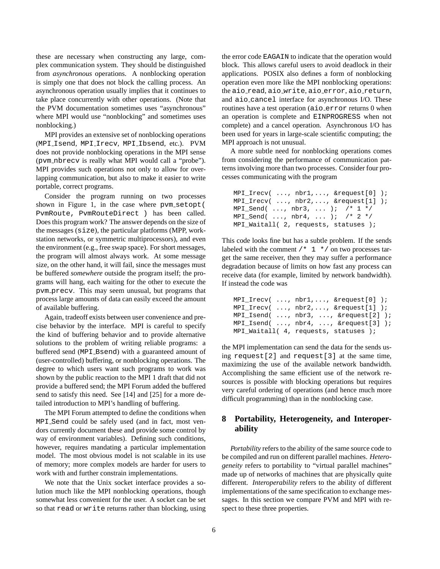these are necessary when constructing any large, complex communication system. They should be distinguished from *asynchronous* operations. A nonblocking operation is simply one that does not block the calling process. An asynchronous operation usually implies that it continues to take place concurrently with other operations. (Note that the PVM documentation sometimes uses "asynchronous" where MPI would use "nonblocking" and sometimes uses nonblocking.)

MPI provides an extensive set of nonblocking operations (MPI\_Isend, MPI\_Irecv, MPI\_Ibsend, etc.). PVM does not provide nonblocking operations in the MPI sense (pvm nbrecv is really what MPI would call a "probe"). MPI provides such operations not only to allow for overlapping communication, but also to make it easier to write portable, correct programs.

Consider the program running on two processes shown in Figure 1, in the case where pvm\_setopt( PvmRoute, PvmRouteDirect ) has been called. Does this program work? The answer depends on the size of the messages (size), the particular platforms (MPP, workstation networks, or symmetric multiprocessors), and even the environment (e.g., free swap space). For short messages, the program will almost always work. At some message size, on the other hand, it will fail, since the messages must be buffered *somewhere* outside the program itself; the programs will hang, each waiting for the other to execute the pvm precv. This may seem unusual, but programs that process large amounts of data can easily exceed the amount of available buffering.

Again, tradeoff exists between user convenience and precise behavior by the interface. MPI is careful to specify the kind of buffering behavior and to provide alternative solutions to the problem of writing reliable programs: a buffered send (MPI\_Bsend) with a guaranteed amount of (user-controlled) buffering, or nonblocking operations. The degree to which users want such programs to work was shown by the public reaction to the MPI 1 draft that did not provide a buffered send; the MPI Forum added the buffered send to satisfy this need. See [14] and [25] for a more detailed introduction to MPI's handling of buffering.

The MPI Forum attempted to define the conditions when MPI Send could be safely used (and in fact, most vendors currently document these and provide some control by way of environment variables). Defining such conditions, however, requires mandating a particular implementation model. The most obvious model is not scalable in its use of memory; more complex models are harder for users to work with and further constrain implementations.

We note that the Unix socket interface provides a solution much like the MPI nonblocking operations, though somewhat less convenient for the user. A socket can be set so that read or write returns rather than blocking, using the error code EAGAIN to indicate that the operation would block. This allows careful users to avoid deadlock in their applications. POSIX also defines a form of nonblocking operation even more like the MPI nonblocking operations: the aio read, aio write, aio error, aio return, and aio cancel interface for asynchronous I/O. These routines have a test operation (aio error returns 0 when an operation is complete and EINPROGRESS when not complete) and a cancel operation. Asynchronous I/O has been used for years in large-scale scientific computing; the MPI approach is not unusual.

A more subtle need for nonblocking operations comes from considering the performance of communication patterns involving more than two processes. Consider four processes communicating with the program

MPI\_Irecv( ..., nbr1,..., &request[0] ); MPI\_Irecv( ..., nbr2,..., &request[1] );  $MPI\_Send( ..., hbr3, ... )$ ; /\* 1 \*/ <code>MPI\_Send(</code> ..., <code>nbr4,</code> ... ); /\* 2 \*/ MPI\_Waitall( 2, requests, statuses );

This code looks fine but has a subtle problem. If the sends labeled with the comment  $/* 1 * /$  on two processes target the same receiver, then they may suffer a performance degradation because of limits on how fast any process can receive data (for example, limited by network bandwidth). If instead the code was

MPI\_Irecv( ..., nbr1,..., &request[0] ); MPI\_Irecv( ..., nbr2,..., &request[1] ); MPI\_Isend( ..., nbr3, ..., &request[2] ); MPI\_Isend( ..., nbr4, ..., &request[3] ); MPI\_Waitall( 4, requests, statuses );

the MPI implementation can send the data for the sends using request[2] and request[3] at the same time, maximizing the use of the available network bandwidth. Accomplishing the same efficient use of the network resources is possible with blocking operations but requires very careful ordering of operations (and hence much more difficult programming) than in the nonblocking case.

# **8 Portability, Heterogeneity, and Interoperability**

*Portability* refers to the ability of the same source code to be compiled and run on different parallel machines. *Heterogeneity* refers to portability to "virtual parallel machines" made up of networks of machines that are physically quite different. *Interoperability* refers to the ability of different implementations of the same specification to exchange messages. In this section we compare PVM and MPI with respect to these three properties.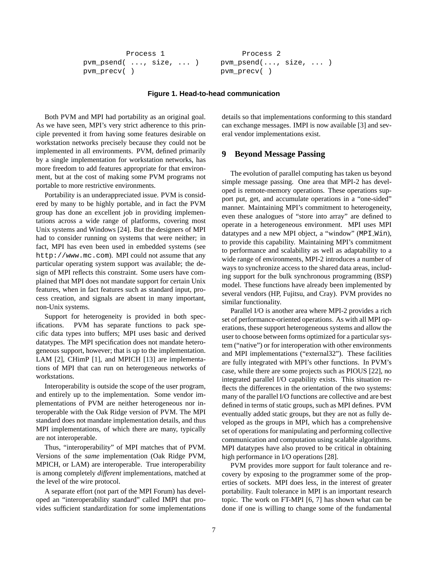```
Process 1 Process 2
pvm_psend( ..., size, ... ) pvm_psend(..., size, ... )
pvm_precv()    pvm_precv()
```
#### **Figure 1. Head-to-head communication**

Both PVM and MPI had portability as an original goal. As we have seen, MPI's very strict adherence to this principle prevented it from having some features desirable on workstation networks precisely because they could not be implemented in all environments. PVM, defined primarily by a single implementation for workstation networks, has more freedom to add features appropriate for that environment, but at the cost of making some PVM programs not portable to more restrictive environments.

Portability is an underappreciated issue. PVM is considered by many to be highly portable, and in fact the PVM group has done an excellent job in providing implementations across a wide range of platforms, covering most Unix systems and Windows [24]. But the designers of MPI had to consider running on systems that were neither; in fact, MPI has even been used in embedded systems (see http://www.mc.com). MPI could not assume that any particular operating system support was available; the design of MPI reflects this constraint. Some users have complained that MPI does not mandate support for certain Unix features, when in fact features such as standard input, process creation, and signals are absent in many important, non-Unix systems.

Support for heterogeneity is provided in both specifications. PVM has separate functions to pack specific data types into buffers; MPI uses basic and derived datatypes. The MPI specification does not mandate heterogeneous support, however; that is up to the implementation. LAM [2], CHimP [1], and MPICH [13] are implementations of MPI that can run on heterogeneous networks of workstations.

Interoperability is outside the scope of the user program, and entirely up to the implementation. Some vendor implementations of PVM are neither heterogeneous nor interoperable with the Oak Ridge version of PVM. The MPI standard does not mandate implementation details, and thus MPI implementations, of which there are many, typically are not interoperable.

Thus, "interoperability" of MPI matches that of PVM. Versions of the *same* implementation (Oak Ridge PVM, MPICH, or LAM) are interoperable. True interoperability is among completely *different* implementations, matched at the level of the wire protocol.

A separate effort (not part of the MPI Forum) has developed an "interoperability standard" called IMPI that provides sufficient standardization for some implementations details so that implementations conforming to this standard can exchange messages. IMPI is now available [3] and several vendor implementations exist.

#### **9 Beyond Message Passing**

The evolution of parallel computing has taken us beyond simple message passing. One area that MPI-2 has developed is remote-memory operations. These operations support put, get, and accumulate operations in a "one-sided" manner. Maintaining MPI's commitment to heterogeneity, even these analogues of "store into array" are defined to operate in a heterogeneous environment. MPI uses MPI datatypes and a new MPI object, a "window" (MPI\_Win), to provide this capability. Maintaining MPI's commitment to performance and scalability as well as adaptability to a wide range of environments, MPI-2 introduces a number of ways to synchronize access to the shared data areas, including support for the bulk synchronous programming (BSP) model. These functions have already been implemented by several vendors (HP, Fujitsu, and Cray). PVM provides no similar functionality.

Parallel I/O is another area where MPI-2 provides a rich set of performance-oriented operations. As with all MPI operations, these support heterogeneous systems and allow the user to choose between forms optimized for a particular system ("native") or for interoperation with other environments and MPI implementations ("external32"). These facilities are fully integrated with MPI's other functions. In PVM's case, while there are some projects such as PIOUS [22], no integrated parallel I/O capability exists. This situation reflects the differences in the orientation of the two systems: many of the parallel I/O functions are collective and are best defined in terms of static groups, such as MPI defines. PVM eventually added static groups, but they are not as fully developed as the groups in MPI, which has a comprehensive set of operations for manipulating and performing collective communication and computation using scalable algorithms. MPI datatypes have also proved to be critical in obtaining high performance in I/O operations [28].

PVM provides more support for fault tolerance and recovery by exposing to the programmer some of the properties of sockets. MPI does less, in the interest of greater portability. Fault tolerance in MPI is an important research topic. The work on FT-MPI [6, 7] has shown what can be done if one is willing to change some of the fundamental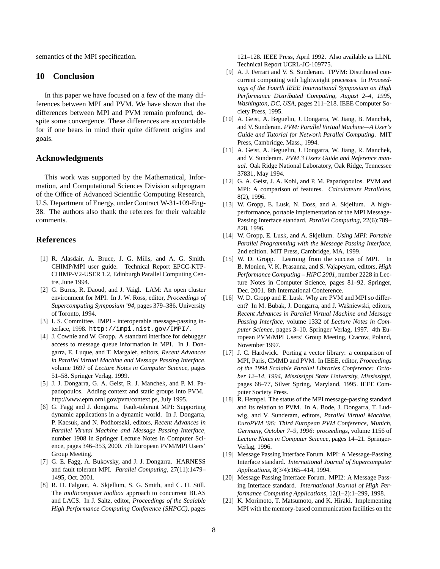semantics of the MPI specification.

# **10 Conclusion**

In this paper we have focused on a few of the many differences between MPI and PVM. We have shown that the differences between MPI and PVM remain profound, despite some convergence. These differences are accountable for if one bears in mind their quite different origins and goals.

### **Acknowledgments**

This work was supported by the Mathematical, Information, and Computational Sciences Division subprogram of the Office of Advanced Scientific Computing Research, U.S. Department of Energy, under Contract W-31-109-Eng-38. The authors also thank the referees for their valuable comments.

#### **References**

- [1] R. Alasdair, A. Bruce, J. G. Mills, and A. G. Smith. CHIMP/MPI user guide. Technical Report EPCC-KTP-CHIMP-V2-USER 1.2, Edinburgh Parallel Computing Centre, June 1994.
- [2] G. Burns, R. Daoud, and J. Vaigl. LAM: An open cluster environment for MPI. In J. W. Ross, editor, *Proceedings of Supercomputing Symposium '94*, pages 379–386. University of Toronto, 1994.
- [3] I. S. Committee. IMPI interoperable message-passing interface, 1998. http://impi.nist.gov/IMPI/.
- [4] J. Cownie and W. Gropp. A standard interface for debugger access to message queue information in MPI. In J. Dongarra, E. Luque, and T. Margalef, editors, *Recent Advances in Parallel Virtual Machine and Message Passing Interface*, volume 1697 of *Lecture Notes in Computer Science*, pages 51–58. Springer Verlag, 1999.
- [5] J. J. Dongarra, G. A. Geist, R. J. Manchek, and P. M. Papadopoulos. Adding context and static groups into PVM. http://www.epm.ornl.gov/pvm/context.ps, July 1995.
- [6] G. Fagg and J. dongarra. Fault-tolerant MPI: Supporting dynamic applications in a dynamic world. In J. Dongarra, P. Kacsuk, and N. Podhorszki, editors, *Recent Advances in Parallel Virutal Machine and Message Passing Interface*, number 1908 in Springer Lecture Notes in Computer Science, pages 346–353, 2000. 7th European PVM/MPI Users' Group Meeting.
- [7] G. E. Fagg, A. Bukovsky, and J. J. Dongarra. HARNESS and fault tolerant MPI. *Parallel Computing*, 27(11):1479– 1495, Oct. 2001.
- [8] R. D. Falgout, A. Skjellum, S. G. Smith, and C. H. Still. The multicomputer toolbox approach to concurrent BLAS and LACS. In J. Saltz, editor, *Proceedings of the Scalable High Performance Computing Conference (SHPCC)*, pages

121–128. IEEE Press, April 1992. Also available as LLNL Technical Report UCRL-JC-109775.

- [9] A. J. Ferrari and V. S. Sunderam. TPVM: Distributed concurrent computing with lightweight processes. In *Proceedings of the Fourth IEEE International Symposium on High Performance Distributed Computing, August 2–4, 1995, Washington, DC, USA*, pages 211–218. IEEE Computer Society Press, 1995.
- [10] A. Geist, A. Beguelin, J. Dongarra, W. Jiang, B. Manchek, and V. Sunderam. *PVM: Parallel Virtual Machine—A User's Guide and Tutorial for Network Parallel Computing*. MIT Press, Cambridge, Mass., 1994.
- [11] A. Geist, A. Beguelin, J. Dongarra, W. Jiang, R. Manchek, and V. Sunderam. *PVM 3 Users Guide and Reference manual*. Oak Ridge National Laboratory, Oak Ridge, Tennessee 37831, May 1994.
- [12] G. A. Geist, J. A. Kohl, and P. M. Papadopoulos. PVM and MPI: A comparison of features. *Calculateurs Paralleles*, 8(2), 1996.
- [13] W. Gropp, E. Lusk, N. Doss, and A. Skjellum. A highperformance, portable implementation of the MPI Message-Passing Interface standard. *Parallel Computing*, 22(6):789– 828, 1996.
- [14] W. Gropp, E. Lusk, and A. Skjellum. *Using MPI: Portable Parallel Programming with the Message Passing Interface,* 2nd edition. MIT Press, Cambridge, MA, 1999.
- [15] W. D. Gropp. Learning from the success of MPI. In B. Monien, V. K. Prasanna, and S. Vajapeyam, editors, *High Performance Computing – HiPC 2001*, number 2228 in Lecture Notes in Computer Science, pages 81–92. Springer, Dec. 2001. 8th International Conference.
- [16] W. D. Gropp and E. Lusk. Why are PVM and MPI so different? In M. Bubak, J. Dongarra, and J. Waśniewski, editors, *Recent Advances in Parallel Virtual Machine and Message Passing Interface*, volume 1332 of *Lecture Notes in Computer Science*, pages 3–10. Springer Verlag, 1997. 4th European PVM/MPI Users' Group Meeting, Cracow, Poland, November 1997.
- [17] J. C. Hardwick. Porting a vector library: a comparison of MPI, Paris, CMMD and PVM. In IEEE, editor, *Proceedings of the 1994 Scalable Parallel Libraries Conference: October 12–14, 1994, Mississippi State University, Mississippi*, pages 68–77, Silver Spring, Maryland, 1995. IEEE Computer Society Press.
- [18] R. Hempel. The status of the MPI message-passing standard and its relation to PVM. In A. Bode, J. Dongarra, T. Ludwig, and V. Sunderam, editors, *Parallel Virtual Machine, EuroPVM '96: Third European PVM Conference, Munich, Germany, October 7–9, 1996: proceedings*, volume 1156 of *Lecture Notes in Computer Science*, pages 14–21. Springer-Verlag, 1996.
- [19] Message Passing Interface Forum. MPI: A Message-Passing Interface standard. *International Journal of Supercomputer Applications*, 8(3/4):165–414, 1994.
- [20] Message Passing Interface Forum. MPI2: A Message Passing Interface standard. *International Journal of High Performance Computing Applications*, 12(1–2):1–299, 1998.
- [21] K. Morimoto, T. Matsumoto, and K. Hiraki. Implementing MPI with the memory-based communication facilities on the